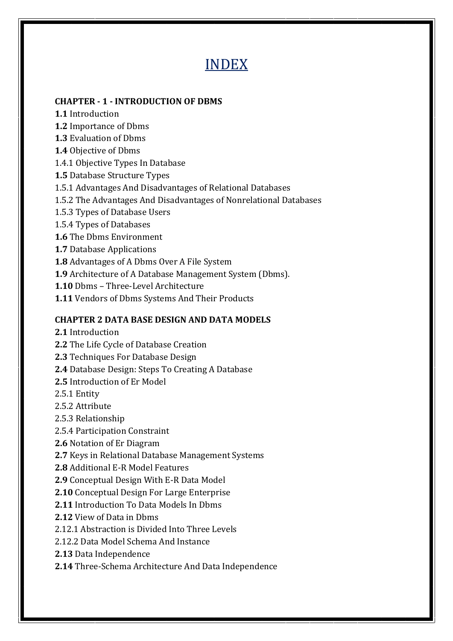# INDEX

# **CHAPTER - 1 - INTRODUCTION OF DBMS**

- **1.1** Introduction
- **1.2** Importance of Dbms
- **1.3** Evaluation of Dbms
- **1.4** Objective of Dbms
- 1.4.1 Objective Types In Database
- **1.5** Database Structure Types
- 1.5.1 Advantages And Disadvantages of Relational Databases
- 1.5.2 The Advantages And Disadvantages of Nonrelational Databases
- 1.5.3 Types of Database Users
- 1.5.4 Types of Databases
- **1.6** The Dbms Environment
- **1.7** Database Applications
- **1.8** Advantages of A Dbms Over A File System
- **1.9** Architecture of A Database Management System (Dbms).
- **1.10** Dbms Three-Level Architecture
- **1.11** Vendors of Dbms Systems And Their Products

# **CHAPTER 2 DATA BASE DESIGN AND DATA MODELS**

- **2.1** Introduction
- **2.2** The Life Cycle of Database Creation
- **2.3** Techniques For Database Design
- **2.4** Database Design: Steps To Creating A Database
- **2.5** Introduction of Er Model
- 2.5.1 Entity
- 2.5.2 Attribute
- 2.5.3 Relationship
- 2.5.4 Participation Constraint
- **2.6** Notation of Er Diagram
- **2.7** Keys in Relational Database Management Systems
- **2.8** Additional E-R Model Features
- **2.9** Conceptual Design With E-R Data Model
- **2.10** Conceptual Design For Large Enterprise
- **2.11** Introduction To Data Models In Dbms
- **2.12** View of Data in Dbms
- 2.12.1 Abstraction is Divided Into Three Levels
- 2.12.2 Data Model Schema And Instance
- **2.13** Data Independence
- **2.14** Three-Schema Architecture And Data Independence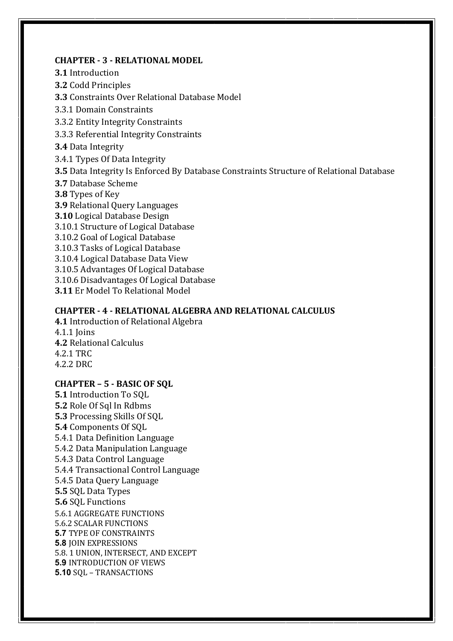#### **CHAPTER - 3 - RELATIONAL MODEL**

**3.1** Introduction

**3.2** Codd Principles

**3.3** Constraints Over Relational Database Model

3.3.1 Domain Constraints

3.3.2 Entity Integrity Constraints

3.3.3 Referential Integrity Constraints

**3.4** Data Integrity

3.4.1 Types Of Data Integrity

**3.5** Data Integrity Is Enforced By Database Constraints Structure of Relational Database

**3.7** Database Scheme

**3.8** Types of Key

**3.9** Relational Query Languages

**3.10** Logical Database Design

3.10.1 Structure of Logical Database

3.10.2 Goal of Logical Database

3.10.3 Tasks of Logical Database

3.10.4 Logical Database Data View

3.10.5 Advantages Of Logical Database

3.10.6 Disadvantages Of Logical Database

**3.11** Er Model To Relational Model

### **CHAPTER - 4 - RELATIONAL ALGEBRA AND RELATIONAL CALCULUS**

**4.1** Introduction of Relational Algebra 4.1.1 Joins **4.2** Relational Calculus 4.2.1 TRC 4.2.2 DRC

### **CHAPTER – 5 - BASIC OF SQL**

**5.1** Introduction To SQL **5.2** Role Of Sql In Rdbms **5.3** Processing Skills Of SQL **5.4** Components Of SQL 5.4.1 Data Definition Language 5.4.2 Data Manipulation Language 5.4.3 Data Control Language 5.4.4 Transactional Control Language 5.4.5 Data Query Language **5.5** SQL Data Types **5.6** SQL Functions 5.6.1 AGGREGATE FUNCTIONS 5.6.2 SCALAR FUNCTIONS **5.7** TYPE OF CONSTRAINTS **5.8** JOIN EXPRESSIONS 5.8. 1 UNION, INTERSECT, AND EXCEPT **5.9** INTRODUCTION OF VIEWS **5.10** SQL – TRANSACTIONS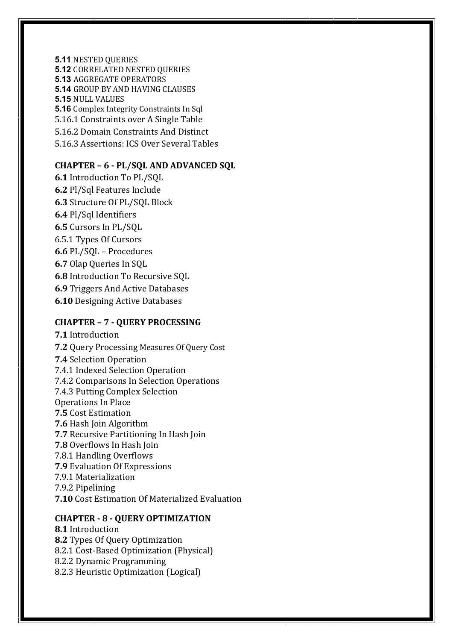**5.11** NESTED QUERIES **5.12** CORRELATED NESTED QUERIES **5.13** AGGREGATE OPERATORS **5.14** GROUP BY AND HAVING CLAUSES **5.15** NULL VALUES **5.16** Complex Integrity Constraints In Sql 5.16.1 Constraints over A Single Table 5.16.2 Domain Constraints And Distinct 5.16.3 Assertions: ICS Over Several Tables

# **CHAPTER – 6 - PL/SQL AND ADVANCED SQL**

**6.1** Introduction To PL/SQL **6.2** Pl/Sql Features Include **6.3** Structure Of PL/SQL Block **6.4** Pl/Sql Identifiers **6.5** Cursors In PL/SQL 6.5.1 Types Of Cursors **6.6** PL/SQL – Procedures **6.7** Olap Queries In SQL **6.8** Introduction To Recursive SQL **6.9** Triggers And Active Databases **6.10** Designing Active Databases

### **CHAPTER – 7 - QUERY PROCESSING**

**7.1** Introduction **7.2** Query Processing Measures Of Query Cost **7.4** Selection Operation 7.4.1 Indexed Selection Operation 7.4.2 Comparisons In Selection Operations 7.4.3 Putting Complex Selection Operations In Place **7.5** Cost Estimation **7.6** Hash Join Algorithm **7.7** Recursive Partitioning In Hash Join **7.8** Overflows In Hash Join 7.8.1 Handling Overflows **7.9** Evaluation Of Expressions 7.9.1 Materialization 7.9.2 Pipelining **7.10** Cost Estimation Of Materialized Evaluation

#### **CHAPTER - 8 - QUERY OPTIMIZATION**

**8.1** Introduction **8.2** Types Of Query Optimization 8.2.1 Cost-Based Optimization (Physical) 8.2.2 Dynamic Programming 8.2.3 Heuristic Optimization (Logical)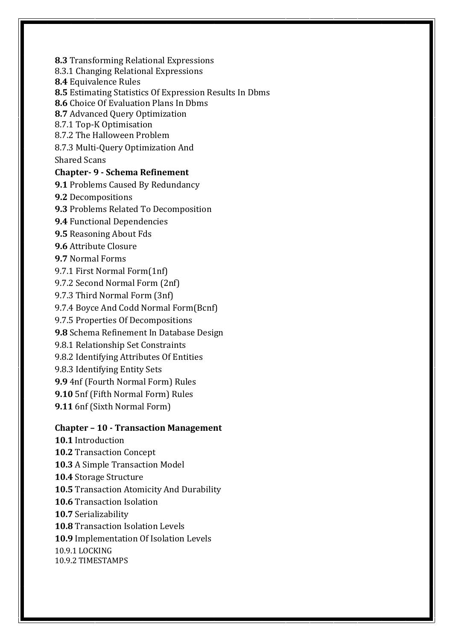**8.3** Transforming Relational Expressions

8.3.1 Changing Relational Expressions

**8.4** Equivalence Rules

**8.5** Estimating Statistics Of Expression Results In Dbms

**8.6** Choice Of Evaluation Plans In Dbms

**8.7** Advanced Query Optimization

8.7.1 Top-K Optimisation

8.7.2 The Halloween Problem

8.7.3 Multi-Query Optimization And

Shared Scans

### **Chapter- 9 - Schema Refinement**

**9.1** Problems Caused By Redundancy

**9.2** Decompositions

**9.3** Problems Related To Decomposition

**9.4** Functional Dependencies

**9.5** Reasoning About Fds

**9.6** Attribute Closure

**9.7** Normal Forms

9.7.1 First Normal Form(1nf)

9.7.2 Second Normal Form (2nf)

9.7.3 Third Normal Form (3nf)

9.7.4 Boyce And Codd Normal Form(Bcnf)

9.7.5 Properties Of Decompositions

**9.8** Schema Refinement In Database Design

9.8.1 Relationship Set Constraints

9.8.2 Identifying Attributes Of Entities

9.8.3 Identifying Entity Sets

**9.9** 4nf (Fourth Normal Form) Rules

**9.10** 5nf (Fifth Normal Form) Rules

**9.11** 6nf (Sixth Normal Form)

### **Chapter – 10 - Transaction Management**

**10.1** Introduction **10.2** Transaction Concept **10.3** A Simple Transaction Model **10.4** Storage Structure **10.5** Transaction Atomicity And Durability **10.6** Transaction Isolation **10.7** Serializability **10.8** Transaction Isolation Levels **10.9** Implementation Of Isolation Levels 10.9.1 LOCKING 10.9.2 TIMESTAMPS